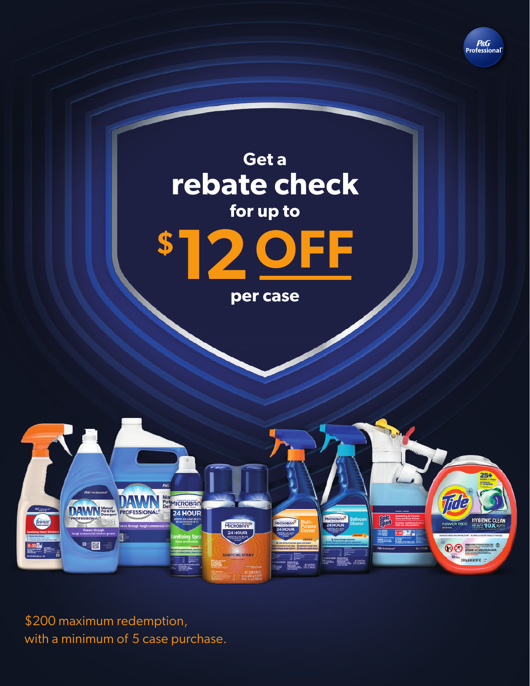





**per case**



\$200 maximum redemption, with a minimum of 5 case purchase.